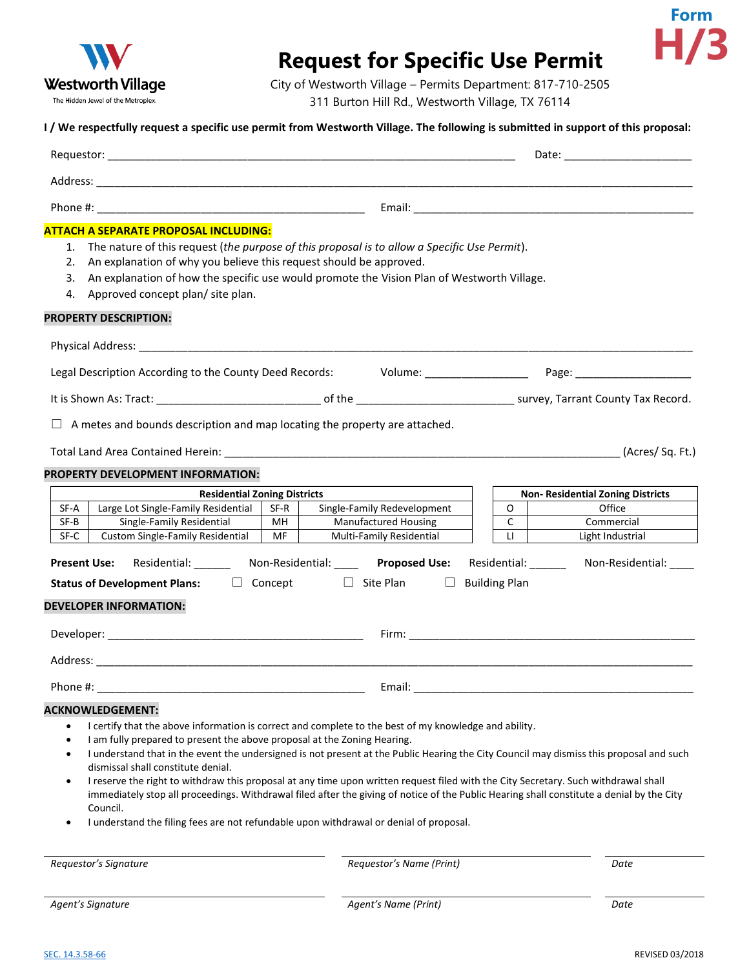

## **Request for Specific Use Permit**



City of Westworth Village – Permits Department: 817-710-2505 311 Burton Hill Rd., Westworth Village, TX 76114

## **I / We respectfully request a specific use permit from Westworth Village. The following is submitted in support of this proposal:**

|                                                                                                                                                                                                                                                                                                                                                                                                                                                                                                                                                                                                                                                                                                                                                                                                                                     |            |                                                            |                         | Date: ________________________           |  |  |
|-------------------------------------------------------------------------------------------------------------------------------------------------------------------------------------------------------------------------------------------------------------------------------------------------------------------------------------------------------------------------------------------------------------------------------------------------------------------------------------------------------------------------------------------------------------------------------------------------------------------------------------------------------------------------------------------------------------------------------------------------------------------------------------------------------------------------------------|------------|------------------------------------------------------------|-------------------------|------------------------------------------|--|--|
|                                                                                                                                                                                                                                                                                                                                                                                                                                                                                                                                                                                                                                                                                                                                                                                                                                     |            |                                                            |                         |                                          |  |  |
|                                                                                                                                                                                                                                                                                                                                                                                                                                                                                                                                                                                                                                                                                                                                                                                                                                     |            |                                                            |                         |                                          |  |  |
| <b>ATTACH A SEPARATE PROPOSAL INCLUDING:</b><br>The nature of this request (the purpose of this proposal is to allow a Specific Use Permit).<br>1.<br>An explanation of why you believe this request should be approved.<br>2.<br>An explanation of how the specific use would promote the Vision Plan of Westworth Village.<br>3.<br>Approved concept plan/ site plan.<br>4.<br><b>PROPERTY DESCRIPTION:</b>                                                                                                                                                                                                                                                                                                                                                                                                                       |            |                                                            |                         |                                          |  |  |
|                                                                                                                                                                                                                                                                                                                                                                                                                                                                                                                                                                                                                                                                                                                                                                                                                                     |            |                                                            |                         |                                          |  |  |
|                                                                                                                                                                                                                                                                                                                                                                                                                                                                                                                                                                                                                                                                                                                                                                                                                                     |            |                                                            |                         |                                          |  |  |
|                                                                                                                                                                                                                                                                                                                                                                                                                                                                                                                                                                                                                                                                                                                                                                                                                                     |            |                                                            |                         |                                          |  |  |
| A metes and bounds description and map locating the property are attached.                                                                                                                                                                                                                                                                                                                                                                                                                                                                                                                                                                                                                                                                                                                                                          |            |                                                            |                         |                                          |  |  |
| PROPERTY DEVELOPMENT INFORMATION:                                                                                                                                                                                                                                                                                                                                                                                                                                                                                                                                                                                                                                                                                                                                                                                                   |            |                                                            |                         |                                          |  |  |
| <b>Residential Zoning Districts</b>                                                                                                                                                                                                                                                                                                                                                                                                                                                                                                                                                                                                                                                                                                                                                                                                 |            |                                                            |                         | <b>Non- Residential Zoning Districts</b> |  |  |
| Large Lot Single-Family Residential<br>SF-A<br>Single-Family Residential<br>SF-B                                                                                                                                                                                                                                                                                                                                                                                                                                                                                                                                                                                                                                                                                                                                                    | SF-R<br>MH | Single-Family Redevelopment<br><b>Manufactured Housing</b> | $\circ$<br>$\mathsf{C}$ | Office<br>Commercial                     |  |  |
| SF-C<br>Custom Single-Family Residential                                                                                                                                                                                                                                                                                                                                                                                                                                                                                                                                                                                                                                                                                                                                                                                            | MF         | Multi-Family Residential                                   | LI                      | Light Industrial                         |  |  |
| Present Use: Residential: Non-Residential: Non-Residential: Proposed Use: Residential: Non-Residential: Non-Residential:<br><b>Status of Development Plans:</b> □ Concept □ Site Plan □ Building Plan<br><b>DEVELOPER INFORMATION:</b>                                                                                                                                                                                                                                                                                                                                                                                                                                                                                                                                                                                              |            |                                                            |                         |                                          |  |  |
|                                                                                                                                                                                                                                                                                                                                                                                                                                                                                                                                                                                                                                                                                                                                                                                                                                     |            |                                                            |                         |                                          |  |  |
|                                                                                                                                                                                                                                                                                                                                                                                                                                                                                                                                                                                                                                                                                                                                                                                                                                     |            |                                                            |                         |                                          |  |  |
| Phone #:                                                                                                                                                                                                                                                                                                                                                                                                                                                                                                                                                                                                                                                                                                                                                                                                                            |            |                                                            |                         |                                          |  |  |
| <b>ACKNOWLEDGEMENT:</b><br>I certify that the above information is correct and complete to the best of my knowledge and ability.<br>$\bullet$<br>I am fully prepared to present the above proposal at the Zoning Hearing.<br>$\bullet$<br>I understand that in the event the undersigned is not present at the Public Hearing the City Council may dismiss this proposal and such<br>٠<br>dismissal shall constitute denial.<br>I reserve the right to withdraw this proposal at any time upon written request filed with the City Secretary. Such withdrawal shall<br>$\bullet$<br>immediately stop all proceedings. Withdrawal filed after the giving of notice of the Public Hearing shall constitute a denial by the City<br>Council.<br>I understand the filing fees are not refundable upon withdrawal or denial of proposal. |            |                                                            |                         |                                          |  |  |
| Requestor's Signature                                                                                                                                                                                                                                                                                                                                                                                                                                                                                                                                                                                                                                                                                                                                                                                                               |            | Requestor's Name (Print)                                   |                         | Date                                     |  |  |